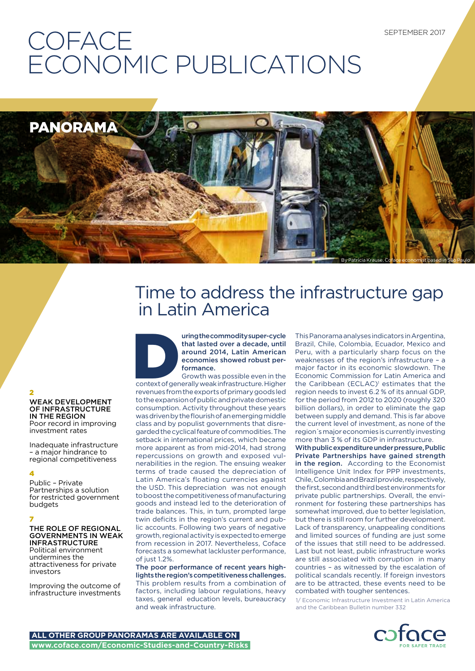## **COFACE** ECONOMIC PUBLICATIONS



## Time to address the infrastructure gap in Latin America



uring the commodity super-cycle<br>
that lasted over a decade, until<br>
around 2014, Latin American<br>
economies showed robust per-<br>
formance.<br>
Growth was possible even in the<br>
context of generally weak infrastructure. Higher<br>
re that lasted over a decade, until around 2014, Latin American economies showed robust performance.

Growth was possible even in the revenues from the exports of primary goods led to the expansion of public and private domestic consumption. Activity throughout these years was driven by the flourish of an emerging middle class and by populist governments that disregarded the cyclical feature of commodities. The setback in international prices, which became more apparent as from mid-2014, had strong repercussions on growth and exposed vulnerabilities in the region. The ensuing weaker terms of trade caused the depreciation of Latin America's floating currencies against the USD. This depreciation was not enough to boost the competitiveness of manufacturing goods and instead led to the deterioration of trade balances. This, in turn, prompted large twin deficits in the region's current and public accounts. Following two years of negative growth, regional activity is expected to emerge from recession in 2017. Nevertheless, Coface forecasts a somewhat lackluster performance, of just 1.2%.

The poor performance of recent years highlights the region's competitiveness challenges. This problem results from a combination of factors, including labour regulations, heavy taxes, general education levels, bureaucracy and weak infrastructure.

This Panorama analyses indicators in Argentina, Brazil, Chile, Colombia, Ecuador, Mexico and Peru, with a particularly sharp focus on the weaknesses of the region's infrastructure – a major factor in its economic slowdown. The Economic Commission for Latin America and the Caribbean (ECLAC)<sup>1</sup> estimates that the region needs to invest 6.2 % of its annual GDP, for the period from 2012 to 2020 (roughly 320 billion dollars), in order to eliminate the gap between supply and demand. This is far above the current level of investment, as none of the region´s major economies is currently investing more than 3 % of its GDP in infrastructure.

With public expenditure under pressure, Public Private Partnerships have gained strength in the region. According to the Economist Intelligence Unit Index for PPP investments, Chile, Colombia and Brazil provide, respectively, the first, second and third best environments for private public partnerships. Overall, the environment for fostering these partnerships has somewhat improved, due to better legislation, but there is still room for further development. Lack of transparency, unappealing conditions and limited sources of funding are just some of the issues that still need to be addressed. Last but not least, public infrastructure works are still associated with corruption in many countries – as witnessed by the escalation of political scandals recently. If foreign investors are to be attracted, these events need to be combated with tougher sentences.

1/ Economic Infrastructure Investment in Latin America and the Caribbean Bulletin number 332



#### 2 WEAK DEVELOPMENT OF INFRASTRUCTURE IN THE REGION Poor record in improving investment rates

Inadequate infrastructure – a major hindrance to regional competitiveness

#### 4

Public – Private Partnerships a solution for restricted government budgets

### 7

THE ROLE OF REGIONAL GOVERNMENTS IN WEAK INFRASTRUCTURE

Political environment undermines the attractiveness for private investors

Improving the outcome of infrastructure investments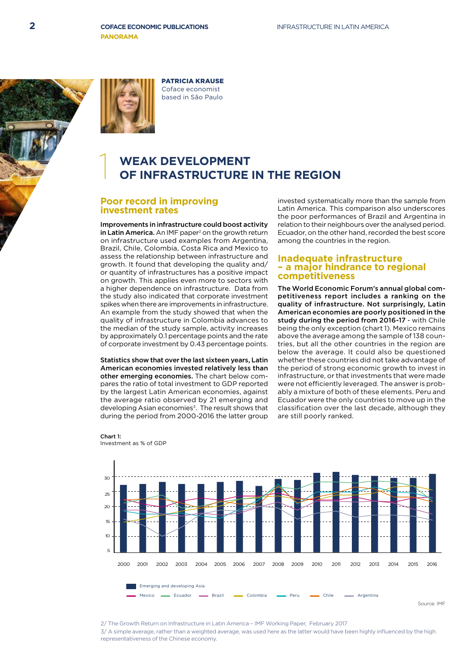

PATRICIA KRAUSE Coface economist based in São Paulo

## **WEAK DEVELOPMENT<br>OF INFRASTRUCTURE IN THE REGION**

### **Poor record in improving investment rates**

Improvements in infrastructure could boost activity in Latin America. An IMF paper<sup>2</sup> on the growth return on infrastructure used examples from Argentina, Brazil, Chile, Colombia, Costa Rica and Mexico to assess the relationship between infrastructure and growth. It found that developing the quality and/ or quantity of infrastructures has a positive impact on growth. This applies even more to sectors with a higher dependence on infrastructure. Data from the study also indicated that corporate investment spikes when there are improvements in infrastructure. An example from the study showed that when the quality of infrastructure in Colombia advances to the median of the study sample, activity increases by approximately 0.1 percentage points and the rate of corporate investment by 0.43 percentage points.

Statistics show that over the last sixteen years, Latin American economies invested relatively less than other emerging economies. The chart below compares the ratio of total investment to GDP reported by the largest Latin American economies, against the average ratio observed by 21 emerging and developing Asian economies<sup>3</sup>. The result shows that during the period from 2000-2016 the latter group

Chart 1:

Investment as % of GDP

invested systematically more than the sample from Latin America. This comparison also underscores the poor performances of Brazil and Argentina in relation to their neighbours over the analysed period. Ecuador, on the other hand, recorded the best score among the countries in the region.

#### **Inadequate infrastructure – a major hindrance to regional competitiveness**

The World Economic Forum's annual global competitiveness report includes a ranking on the quality of infrastructure. Not surprisingly, Latin American economies are poorly positioned in the study during the period from 2016-17 - with Chile being the only exception (chart 1). Mexico remains above the average among the sample of 138 countries, but all the other countries in the region are below the average. It could also be questioned whether these countries did not take advantage of the period of strong economic growth to invest in infrastructure, or that investments that were made were not efficiently leveraged. The answer is probably a mixture of both of these elements. Peru and Ecuador were the only countries to move up in the classification over the last decade, although they are still poorly ranked.



#### Source: IMF

2/ The Growth Return on Infrastructure in Latin America – IMF Working Paper, February 2017

3/ A simple average, rather than a weighted average, was used here as the latter would have been highly influenced by the high representativeness of the Chinese economy.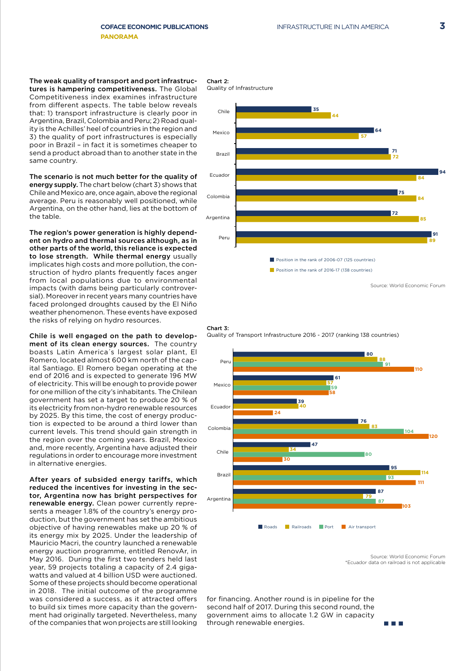The weak quality of transport and port infrastructures is hampering competitiveness. The Global Competitiveness index examines infrastructure from different aspects. The table below reveals that: 1) transport infrastructure is clearly poor in Argentina, Brazil, Colombia and Peru; 2) Road quality is the Achilles' heel of countries in the region and 3) the quality of port infrastructures is especially poor in Brazil – in fact it is sometimes cheaper to send a product abroad than to another state in the same country.

The scenario is not much better for the quality of energy supply. The chart below (chart 3) shows that Chile and Mexico are, once again, above the regional average. Peru is reasonably well positioned, while Argentina, on the other hand, lies at the bottom of the table.

The region's power generation is highly dependent on hydro and thermal sources although, as in other parts of the world, this reliance is expected to lose strength. While thermal energy usually implicates high costs and more pollution, the construction of hydro plants frequently faces anger from local populations due to environmental impacts (with dams being particularly controversial). Moreover in recent years many countries have faced prolonged droughts caused by the El Niño weather phenomenon. These events have exposed the risks of relying on hydro resources.

Chile is well engaged on the path to development of its clean energy sources. The country boasts Latin America´s largest solar plant, El Romero, located almost 600 km north of the capital Santiago. El Romero began operating at the end of 2016 and is expected to generate 196 MW of electricity. This will be enough to provide power for one million of the city's inhabitants. The Chilean government has set a target to produce 20 % of its electricity from non-hydro renewable resources by 2025. By this time, the cost of energy production is expected to be around a third lower than current levels. This trend should gain strength in the region over the coming years. Brazil, Mexico and, more recently, Argentina have adjusted their regulations in order to encourage more investment in alternative energies.

After years of subsided energy tariffs, which reduced the incentives for investing in the sector, Argentina now has bright perspectives for renewable energy. Clean power currently represents a meager 1.8% of the country's energy production, but the government has set the ambitious objective of having renewables make up 20 % of its energy mix by 2025. Under the leadership of Mauricio Macri, the country launched a renewable energy auction programme, entitled RenovAr, in May 2016. During the first two tenders held last year, 59 projects totaling a capacity of 2.4 gigawatts and valued at 4 billion USD were auctioned. Some of these projects should become operational in 2018. The initial outcome of the programme was considered a success, as it attracted offers to build six times more capacity than the government had originally targeted. Nevertheless, many of the companies that won projects are still looking

Chart 2:







Source: World Economic Forum \*Ecuador data on railroad is not applicable

**TIME** 

for financing. Another round is in pipeline for the second half of 2017. During this second round, the government aims to allocate 1.2 GW in capacity through renewable energies.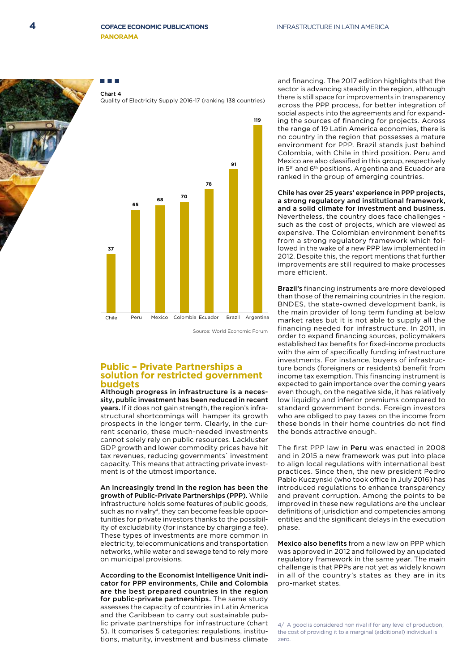

Chart 4 Quality of Electricity Supply 2016-17 (ranking 138 countries)



Source: World Economic Forum

**119**

### **Public – Private Partnerships a solution for restricted government budgets**

Although progress in infrastructure is a necessity, public investment has been reduced in recent years. If it does not gain strength, the region's infrastructural shortcomings will hamper its growth prospects in the longer term. Clearly, in the current scenario, these much-needed investments cannot solely rely on public resources. Lackluster GDP growth and lower commodity prices have hit tax revenues, reducing governments´ investment capacity. This means that attracting private investment is of the utmost importance.

An increasingly trend in the region has been the growth of Public-Private Partnerships (PPP). While infrastructure holds some features of public goods, such as no rivalry<sup>4</sup>, they can become feasible opportunities for private investors thanks to the possibility of excludability (for instance by charging a fee). These types of investments are more common in electricity, telecommunications and transportation networks, while water and sewage tend to rely more on municipal provisions.

According to the Economist Intelligence Unit indicator for PPP environments, Chile and Colombia are the best prepared countries in the region for public-private partnerships. The same study assesses the capacity of countries in Latin America and the Caribbean to carry out sustainable public private partnerships for infrastructure (chart 5). It comprises 5 categories: regulations, institutions, maturity, investment and business climate

and financing. The 2017 edition highlights that the sector is advancing steadily in the region, although there is still space for improvements in transparency across the PPP process, for better integration of social aspects into the agreements and for expanding the sources of financing for projects. Across the range of 19 Latin America economies, there is no country in the region that possesses a mature environment for PPP. Brazil stands just behind Colombia, with Chile in third position. Peru and Mexico are also classified in this group, respectively in 5th and 6th positions. Argentina and Ecuador are ranked in the group of emerging countries.

Chile has over 25 years' experience in PPP projects, a strong regulatory and institutional framework, and a solid climate for investment and business. Nevertheless, the country does face challenges such as the cost of projects, which are viewed as expensive. The Colombian environment benefits from a strong regulatory framework which followed in the wake of a new PPP law implemented in 2012. Despite this, the report mentions that further improvements are still required to make processes more efficient.

Brazil's financing instruments are more developed than those of the remaining countries in the region. BNDES, the state-owned development bank, is the main provider of long term funding at below market rates but it is not able to supply all the financing needed for infrastructure. In 2011, in order to expand financing sources, policymakers established tax benefits for fixed-income products with the aim of specifically funding infrastructure investments. For instance, buyers of infrastructure bonds (foreigners or residents) benefit from income tax exemption. This financing instrument is expected to gain importance over the coming years even though, on the negative side, it has relatively low liquidity and inferior premiums compared to standard government bonds. Foreign investors who are obliged to pay taxes on the income from these bonds in their home countries do not find the bonds attractive enough.

The first PPP law in Peru was enacted in 2008 and in 2015 a new framework was put into place to align local regulations with international best practices. Since then, the new president Pedro Pablo Kuczynski (who took office in July 2016) has introduced regulations to enhance transparency and prevent corruption. Among the points to be improved in these new regulations are the unclear definitions of jurisdiction and competencies among entities and the significant delays in the execution phase.

Mexico also benefits from a new law on PPP which was approved in 2012 and followed by an updated regulatory framework in the same year. The main challenge is that PPPs are not yet as widely known in all of the country's states as they are in its pro-market states.

4/ A good is considered non rival if for any level of production, the cost of providing it to a marginal (additional) individual is zero.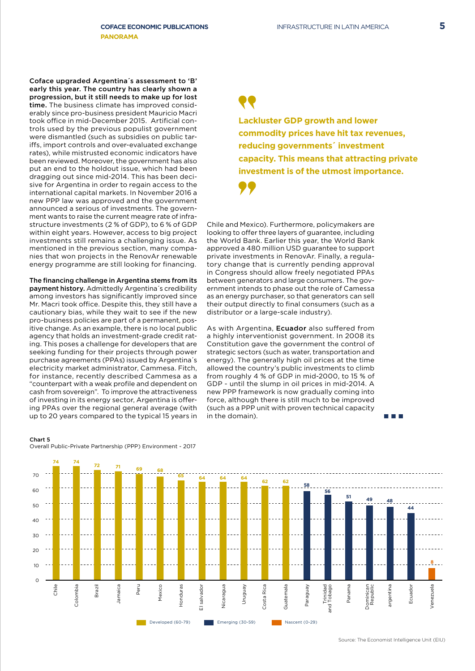Coface upgraded Argentina´s assessment to 'B' early this year. The country has clearly shown a progression, but it still needs to make up for lost time. The business climate has improved considerably since pro-business president Mauricio Macri took office in mid-December 2015. Artificial controls used by the previous populist government were dismantled (such as subsidies on public tariffs, import controls and over-evaluated exchange rates), while mistrusted economic indicators have been reviewed. Moreover, the government has also put an end to the holdout issue, which had been dragging out since mid-2014. This has been decisive for Argentina in order to regain access to the international capital markets. In November 2016 a new PPP law was approved and the government announced a serious of investments. The government wants to raise the current meagre rate of infrastructure investments (2 % of GDP), to 6 % of GDP within eight years. However, access to big project investments still remains a challenging issue. As mentioned in the previous section, many companies that won projects in the RenovAr renewable energy programme are still looking for financing.

The financing challenge in Argentina stems from its payment history. Admittedly Argentina´s credibility among investors has significantly improved since Mr. Macri took office. Despite this, they still have a cautionary bias, while they wait to see if the new pro-business policies are part of a permanent, positive change. As an example, there is no local public agency that holds an investment-grade credit rating. This poses a challenge for developers that are seeking funding for their projects through power purchase agreements (PPAs) issued by Argentina´s electricity market administrator, Cammesa. Fitch, for instance, recently described Cammesa as a "counterpart with a weak profile and dependent on cash from sovereign". To improve the attractiveness of investing in its energy sector, Argentina is offering PPAs over the regional general average (with up to 20 years compared to the typical 15 years in

**Lackluster GDP growth and lower commodity prices have hit tax revenues, reducing governments´ investment capacity. This means that attracting private investment is of the utmost importance.**

Chile and Mexico). Furthermore, policymakers are looking to offer three layers of guarantee, including the World Bank. Earlier this year, the World Bank approved a 480 million USD guarantee to support private investments in RenovAr. Finally, a regulatory change that is currently pending approval in Congress should allow freely negotiated PPAs between generators and large consumers. The government intends to phase out the role of Camessa as an energy purchaser, so that generators can sell their output directly to final consumers (such as a distributor or a large-scale industry).

As with Argentina, **Ecuador** also suffered from a highly interventionist government. In 2008 its Constitution gave the government the control of strategic sectors (such as water, transportation and energy). The generally high oil prices at the time allowed the country's public investments to climb from roughly 4 % of GDP in mid-2000, to 15 % of GDP - until the slump in oil prices in mid-2014. A new PPP framework is now gradually coming into force, although there is still much to be improved (such as a PPP unit with proven technical capacity in the domain).

#### **<sup>74</sup> <sup>74</sup> <sup>72</sup> <sup>69</sup> <sup>68</sup> 71**-------------------------------------70 **<sup>65</sup> <sup>64</sup> <sup>64</sup> <sup>64</sup> <sup>62</sup> <sup>62</sup> <sup>58</sup>**  $60$ **56 51 49 48** 50 **44**  $40$ 30  $2<sup>c</sup>$ **8**  $1<sub>0</sub>$  $\Omega$ Trinidad<br>Tobago Brazil Mexico Honduras ominican<br>Republic Chile cidmolo: Colombia Jamaica Peru Honduras salvador El salvador Nicaragua Nicaragua Uruguay Costa Rica Costa Rica Guatemala Guatemala Paraguay Paraguay and Tobago Panama Dominican Republic argentina argentina Ecuador Ecuador /enezuela Venezuela Developed (60-79) **Emerging (30-59)** Nascent (0-29)

#### Chart 5

Overall Public-Private Partnership (PPP) Environment - 2017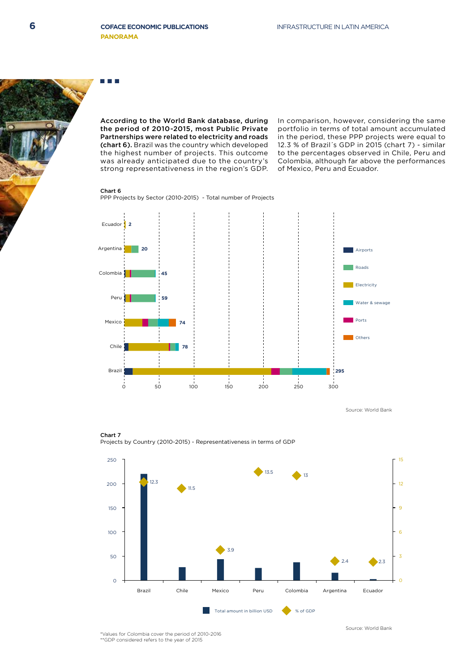According to the World Bank database, during the period of 2010-2015, most Public Private Partnerships were related to electricity and roads (chart 6). Brazil was the country which developed the highest number of projects. This outcome was already anticipated due to the country's strong representativeness in the region's GDP. In comparison, however, considering the same portfolio in terms of total amount accumulated in the period, these PPP projects were equal to 12.3 % of Brazil´s GDP in 2015 (chart 7) - similar to the percentages observed in Chile, Peru and Colombia, although far above the performances of Mexico, Peru and Ecuador.

#### Chart 6

PPP Projects by Sector (2010-2015) - Total number of Projects



Source: World Bank



Chart 7 Projects by Country (2010-2015) - Representativeness in terms of GDP

\*Values for Colombia cover the period of 2010-2016 \*\*GDP considered refers to the year of 2015

Source: World Bank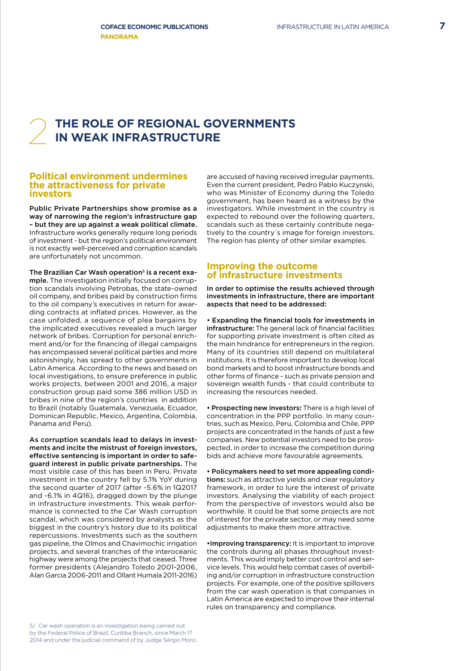# THE ROLE OF REGIONAL GOVERNMENTS<br>IN WEAK INFRASTRUCTURE

#### **Political environment undermines the attractiveness for private investors**

Public Private Partnerships show promise as a way of narrowing the region's infrastructure gap – but they are up against a weak political climate. Infrastructure works generally require long periods of investment - but the region's political environment is not exactly well-perceived and corruption scandals are unfortunately not uncommon.

The Brazilian Car Wash operation<sup>5</sup> is a recent example. The investigation initially focused on corruption scandals involving Petrobas, the state-owned oil company, and bribes paid by construction firms to the oil company's executives in return for awarding contracts at inflated prices. However, as the case unfolded, a sequence of plea bargains by the implicated executives revealed a much larger network of bribes. Corruption for personal enrichment and/or for the financing of illegal campaigns has encompassed several political parties and more astonishingly, has spread to other governments in Latin America. According to the news and based on local investigations, to ensure preference in public works projects, between 2001 and 2016, a major construction group paid some 386 million USD in bribes in nine of the region's countries in addition to Brazil (notably Guatemala, Venezuela, Ecuador, Dominican Republic, Mexico, Argentina, Colombia, Panama and Peru).

As corruption scandals lead to delays in investments and incite the mistrust of foreign investors, effective sentencing is important in order to safeguard interest in public private partnerships. The most visible case of this has been in Peru. Private investment in the country fell by 5.1% YoY during the second quarter of 2017 (after -5.6% in 1Q2017 and -6.1% in 4Q16), dragged down by the plunge in infrastructure investments. This weak performance is connected to the Car Wash corruption scandal, which was considered by analysts as the biggest in the country's history due to its political repercussions. Investments such as the southern gas pipeline, the Olmos and Chavimochic irrigation projects, and several tranches of the interoceanic highway were among the projects that ceased. Three former presidents (Alejandro Toledo 2001-2006, Alan Garcia 2006-2011 and Ollant Humala 2011-2016) are accused of having received irregular payments. Even the current president, Pedro Pablo Kuczynski, who was Minister of Economy during the Toledo government, has been heard as a witness by the investigators. While investment in the country is expected to rebound over the following quarters, scandals such as these certainly contribute negatively to the country´s image for foreign investors. The region has plenty of other similar examples.

#### **Improving the outcome of infrastructure investments**

#### In order to optimise the results achieved through investments in infrastructure, there are important aspects that need to be addressed:

• Expanding the financial tools for investments in infrastructure: The general lack of financial facilities for supporting private investment is often cited as the main hindrance for entrepreneurs in the region. Many of its countries still depend on multilateral institutions. It is therefore important to develop local bond markets and to boost infrastructure bonds and other forms of finance - such as private pension and sovereign wealth funds - that could contribute to increasing the resources needed.

• Prospecting new investors**:** There is a high level of concentration in the PPP portfolio. In many countries, such as Mexico, Peru, Colombia and Chile, PPP projects are concentrated in the hands of just a few companies. New potential investors need to be prospected, in order to increase the competition during bids and achieve more favourable agreements.

• Policymakers need to set more appealing conditions: such as attractive yields and clear regulatory framework, in order to lure the interest of private investors. Analysing the viability of each project from the perspective of investors would also be worthwhile. It could be that some projects are not of interest for the private sector, or may need some adjustments to make them more attractive.

•Improving transparency: It is important to improve the controls during all phases throughout investments. This would imply better cost control and service levels. This would help combat cases of overbilling and/or corruption in infrastructure construction projects. For example, one of the positive spillovers from the car wash operation is that companies in Latin America are expected to improve their internal rules on transparency and compliance.